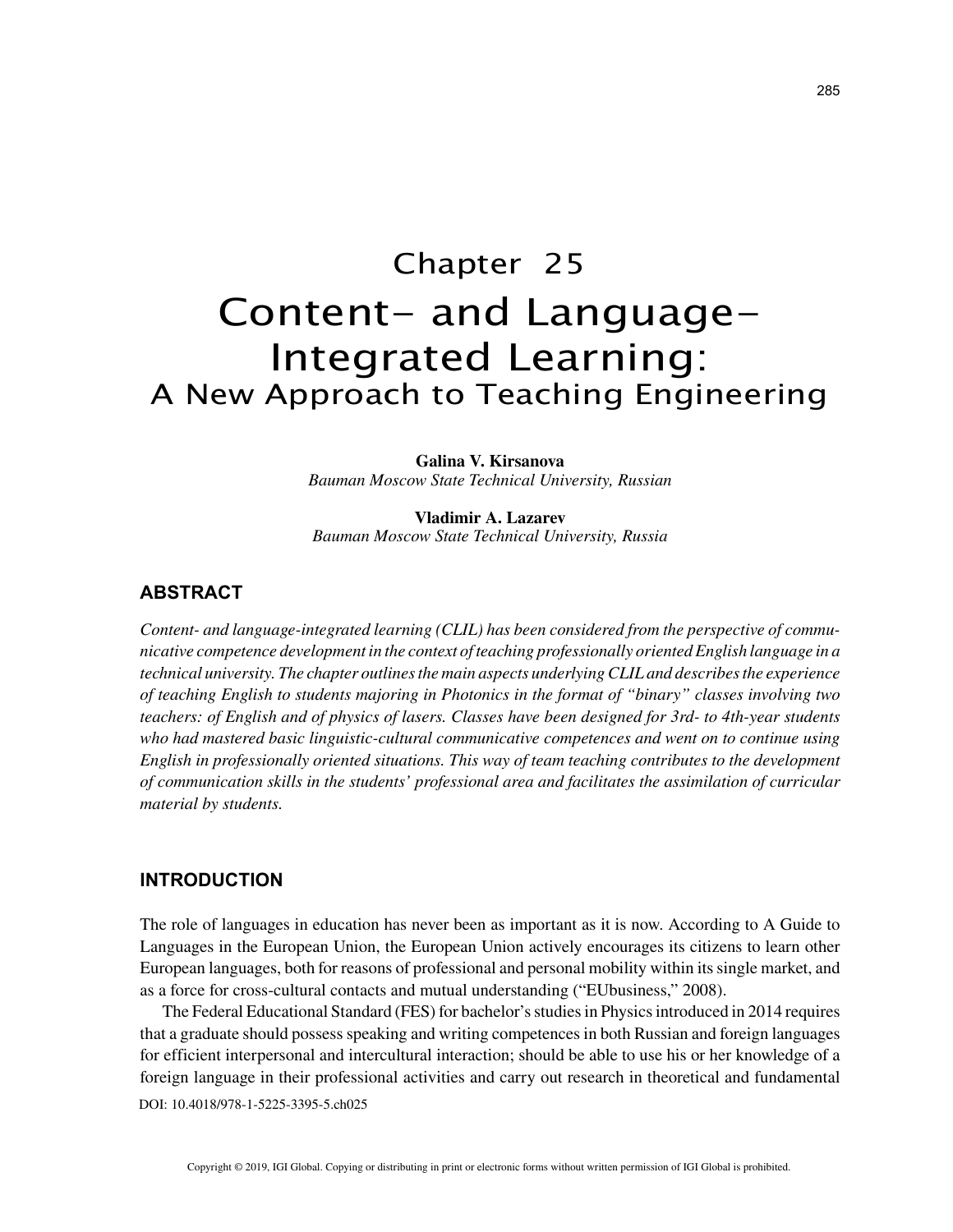# Chapter 25 Content- and Language-Integrated Learning: A New Approach to Teaching Engineering

**Galina V. Kirsanova** *Bauman Moscow State Technical University, Russian*

**Vladimir A. Lazarev** *Bauman Moscow State Technical University, Russia*

## **ABSTRACT**

*Content- and language-integrated learning (CLIL) has been considered from the perspective of communicative competence development in the context of teaching professionally oriented English language in a technical university. The chapter outlines the main aspects underlying CLIL and describes the experience of teaching English to students majoring in Photonics in the format of "binary" classes involving two teachers: of English and of physics of lasers. Classes have been designed for 3rd- to 4th-year students who had mastered basic linguistic-cultural communicative competences and went on to continue using English in professionally oriented situations. This way of team teaching contributes to the development of communication skills in the students' professional area and facilitates the assimilation of curricular material by students.*

### **INTRODUCTION**

The role of languages in education has never been as important as it is now. According to A Guide to Languages in the European Union, the European Union actively encourages its citizens to learn other European languages, both for reasons of professional and personal mobility within its single market, and as a force for cross-cultural contacts and mutual understanding ("EUbusiness," 2008).

DOI: 10.4018/978-1-5225-3395-5.ch025 The Federal Educational Standard (FES) for bachelor's studies in Physics introduced in 2014 requires that a graduate should possess speaking and writing competences in both Russian and foreign languages for efficient interpersonal and intercultural interaction; should be able to use his or her knowledge of a foreign language in their professional activities and carry out research in theoretical and fundamental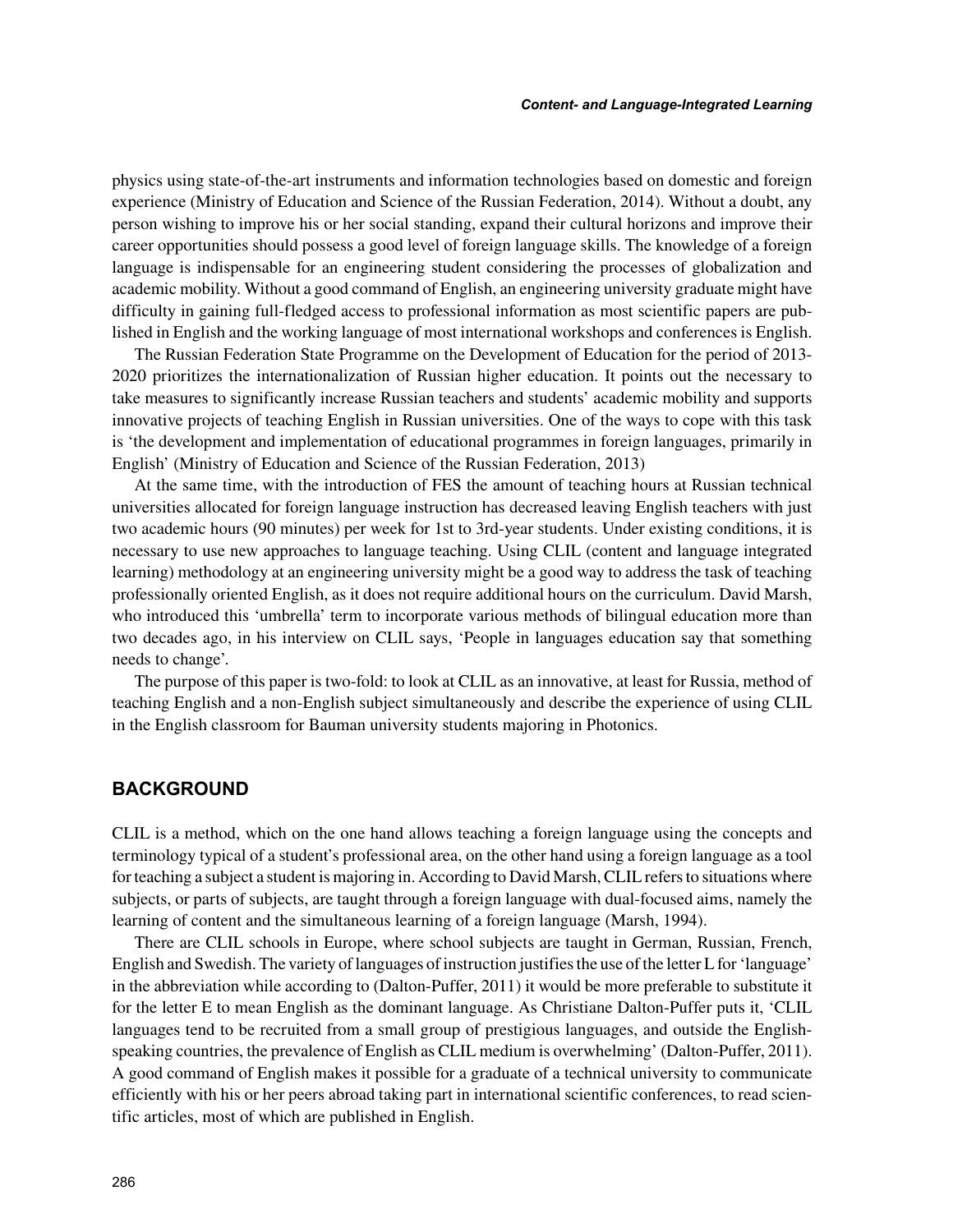physics using state-of-the-art instruments and information technologies based on domestic and foreign experience (Ministry of Education and Science of the Russian Federation, 2014). Without a doubt, any person wishing to improve his or her social standing, expand their cultural horizons and improve their career opportunities should possess a good level of foreign language skills. The knowledge of a foreign language is indispensable for an engineering student considering the processes of globalization and academic mobility. Without a good command of English, an engineering university graduate might have difficulty in gaining full-fledged access to professional information as most scientific papers are published in English and the working language of most international workshops and conferences is English.

The Russian Federation State Programme on the Development of Education for the period of 2013- 2020 prioritizes the internationalization of Russian higher education. It points out the necessary to take measures to significantly increase Russian teachers and students' academic mobility and supports innovative projects of teaching English in Russian universities. One of the ways to cope with this task is 'the development and implementation of educational programmes in foreign languages, primarily in English' (Ministry of Education and Science of the Russian Federation, 2013)

At the same time, with the introduction of FES the amount of teaching hours at Russian technical universities allocated for foreign language instruction has decreased leaving English teachers with just two academic hours (90 minutes) per week for 1st to 3rd-year students. Under existing conditions, it is necessary to use new approaches to language teaching. Using CLIL (content and language integrated learning) methodology at an engineering university might be a good way to address the task of teaching professionally oriented English, as it does not require additional hours on the curriculum. David Marsh, who introduced this 'umbrella' term to incorporate various methods of bilingual education more than two decades ago, in his interview on CLIL says, 'People in languages education say that something needs to change'.

The purpose of this paper is two-fold: to look at CLIL as an innovative, at least for Russia, method of teaching English and a non-English subject simultaneously and describe the experience of using CLIL in the English classroom for Bauman university students majoring in Photonics.

#### **BACKGROUND**

CLIL is a method, which on the one hand allows teaching a foreign language using the concepts and terminology typical of a student's professional area, on the other hand using a foreign language as a tool for teaching a subject a student is majoring in. According to David Marsh, CLIL refers to situations where subjects, or parts of subjects, are taught through a foreign language with dual-focused aims, namely the learning of content and the simultaneous learning of a foreign language (Marsh, 1994).

There are CLIL schools in Europe, where school subjects are taught in German, Russian, French, English and Swedish. The variety of languages of instruction justifies the use of the letter L for 'language' in the abbreviation while according to (Dalton-Puffer, 2011) it would be more preferable to substitute it for the letter E to mean English as the dominant language. As Christiane Dalton-Puffer puts it, 'CLIL languages tend to be recruited from a small group of prestigious languages, and outside the Englishspeaking countries, the prevalence of English as CLIL medium is overwhelming' (Dalton-Puffer, 2011). A good command of English makes it possible for a graduate of a technical university to communicate efficiently with his or her peers abroad taking part in international scientific conferences, to read scientific articles, most of which are published in English.